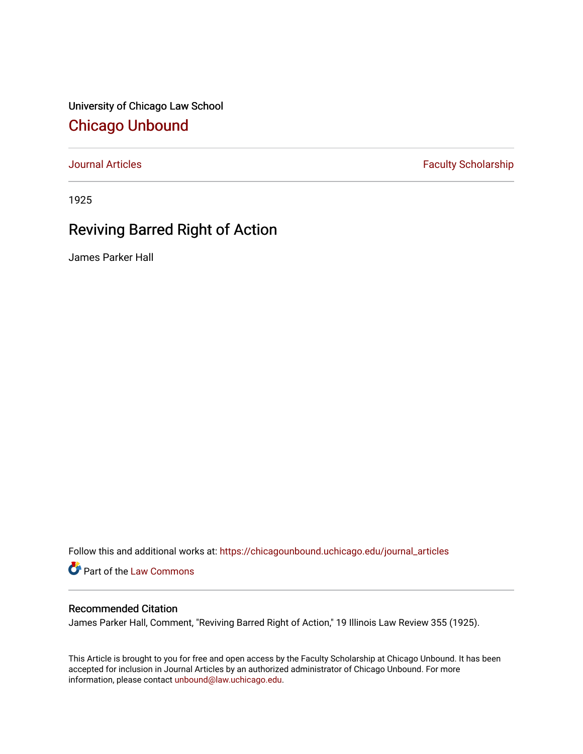University of Chicago Law School [Chicago Unbound](https://chicagounbound.uchicago.edu/)

[Journal Articles](https://chicagounbound.uchicago.edu/journal_articles) **Faculty Scholarship Faculty Scholarship** 

1925

## Reviving Barred Right of Action

James Parker Hall

Follow this and additional works at: [https://chicagounbound.uchicago.edu/journal\\_articles](https://chicagounbound.uchicago.edu/journal_articles?utm_source=chicagounbound.uchicago.edu%2Fjournal_articles%2F9360&utm_medium=PDF&utm_campaign=PDFCoverPages) 

Part of the [Law Commons](http://network.bepress.com/hgg/discipline/578?utm_source=chicagounbound.uchicago.edu%2Fjournal_articles%2F9360&utm_medium=PDF&utm_campaign=PDFCoverPages)

## Recommended Citation

James Parker Hall, Comment, "Reviving Barred Right of Action," 19 Illinois Law Review 355 (1925).

This Article is brought to you for free and open access by the Faculty Scholarship at Chicago Unbound. It has been accepted for inclusion in Journal Articles by an authorized administrator of Chicago Unbound. For more information, please contact [unbound@law.uchicago.edu](mailto:unbound@law.uchicago.edu).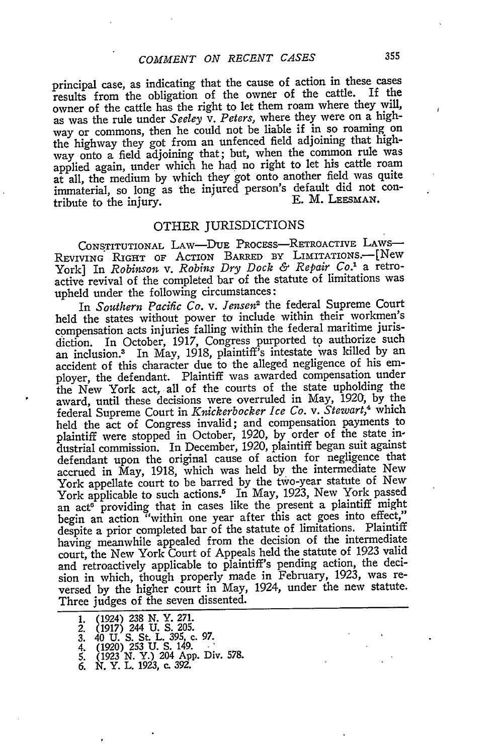principal case, as indicating that the cause of action in these cases results from the obligation of the owner of the cattle. If the owner of the cattle has the right to let them roam where they will, as was the rule under *Seeley v. Peters,* where they were on a highway or commons, then he could not be liable if in so roaming on the highway they got from an unfenced field adjoining that highway onto a field adjoining that; but, when the common rule was applied again, under which he had no right to let his cattle roam at all, the medium **by** which they got onto another field was quite immaterial, so long as the injured person's default did not con-<br>tribute to the injury tribute to the injury.

## OTHER JURISDICTIONS

**CONSTITUTIONAL** LAw-DUE PROCESS-RETROACTIVE LAws-REVIVING RIGHT OF ACTION BARRED BY LIMITATIONS.-- [New York] In *Robinson v. Robins Dry Dock & Repair Co.'* a retroactive revival of the completed bar of the statute of limitations was upheld under the following circumstances:

In *Southern Pacific Co. v. Jensen2* the federal Supreme Court held the states without power to include within their workmen's compensation acts injuries falling within the federal maritime jurisdiction. In October, 1917, Congress purported to authorize such an inclusion.3 In May, 1918, plaintiff's intestate was killed by an accident of this character due to the alleged negligence of his employer, the defendant. Plaintiff was awarded compensation under the New York act, all of the courts of the state upholding the award, until these decisions were overruled in May, 1920, by the federal Supreme Court in *Knickerbocker Ice Co. v. Stewart,4* which held the act of Congress invalid; and compensation payments to plaintiff were stopped in October, 1920, by order of the state industrial commission. In December, 1920, plaintiff began suit against defendant upon the original cause of action for negligence that accrued in May, 1918, which was held by the intermediate New York appellate court to be barred by the two-year statute of New York applicable to such actions.<sup>5</sup> In May, 1923, New York passed an act<sup>6</sup> providing that in cases like the present a plaintiff might begin an action "within one year after this act goes into effect," despite a prior completed bar of the statute of limitations. Plaintiff having meanwhile appealed from the decision of the intermediate court, the New York Court of Appeals held the statute of 1923 valid and retroactively applicable to plaintiff's pending action, the decision in which, though properly made in February, 1923, was reversed by the higher court in May, 1924, under the new statute. Three judges of the seven dissented.

**<sup>1.</sup>** (1924) **238 N.** Y. **271. 2. (1917) 244** U. **S.** 205. 3. 40 U. S. St. L. 395, **c.** *97.* 4. (1920) **253** U. **S.** 149. .

<sup>5.</sup> **(1923** *N.* Y.) 204 **App.** Div. 578. *6.* N. Y. L. **1923,** c. **392.**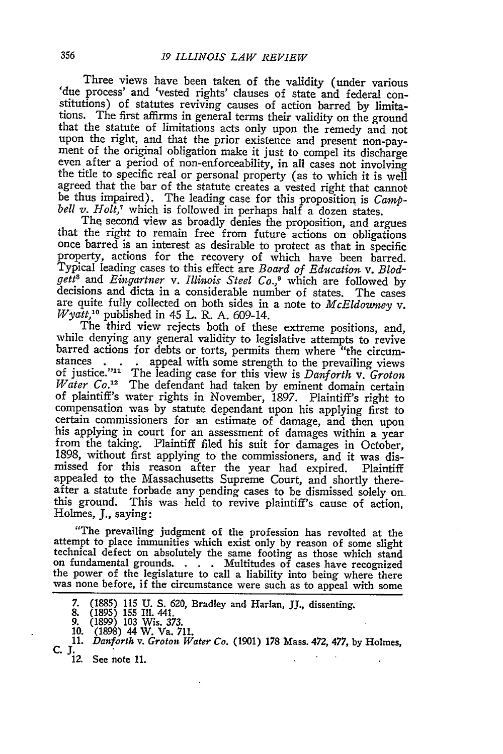Three views have been taken of the validity (under various 'due process' and 'vested rights' clauses of state and federal constitutions) of statutes reviving causes of action barred **by** limitathat the statute of limitations acts only upon the remedy and not upon the right, and that the prior existence and present non-pay- ment of the original obligation make it just to compel its discharge even after a period of non-enforceability, in all cases not involving the title to specific real or personal property (as to which it is well agreed that the bar of the statute creates a vested right that cannot be thus impaired). The leading case for this proposition is *Camp- bell v. Holt*,<sup>7</sup> which is followed in perhaps half a dozen states. The second view as broadly denies the proposition, and argues

that the right to remain free from future actions on obligations once barred is an interest as desirable to protect as that in specific Typical leading cases to this effect are *Board of Education v. Blodgett8 and Eingartner v. Illinois Steel Co.,9* which are followed by decisions and dicta in a considerable number of states. The cases are quite fully collected on both sides in a note to *McEldowney v. Wyatt,'0* published in 45 L. R. A. 609-14.

The third view rejects both of these extreme positions, and, while denying any general validity to legislative attempts to revive barred actions for debts or torts, permits them where "the circumstances . . . appeal with some strength to the prevailing views of justice."" The leading case for this view is *Danforth v. Groton Water Co.*<sup>12</sup> The defendant had taken by eminent domain certain **of** plaintiff's water rights in November, 1897. Plaintiff's right to compensation was by statute dependant upon his applying first to his applying in court for an assessment of damages within a year from the taking. Plaintiff filed his suit for damages in October, 1898, without first applying to the commissioners, and it was dismissed for this reason after the year had expired. Plaintiff appealed to the Massachusetts Supreme Court, and shortly thereafter a statute forbade any pending cases to be dismissed solely on this ground. This was held to revive plaintiff's cause of action, Holmes, **J.,** saying:

"The prevailing judgment of the profession has revolted at the attempt to place immunities which exist only by reason of some slight technical defect on absolutely the same footing as those which stand<br>on fundamental grounds. . . . Multitudes of cases have recognized<br>the power of the legislature to call a liability into being where there was none before, if the circumstance were such as to appeal with some

**<sup>7. (1885) 115</sup> U. S.** 620, Bradley and Harlan, JJ., dissenting. **8. (1895) 155** Ill. 441. **9. (1899) 103** Wis. 373. **10. (1898)** 44 W. Va. **711.**

**<sup>11.</sup>** *Danforth v. Groton Water Co.* **(1901) 178** Mass. 472, **477, by** Holmes, **C.** . *12.* **See note II.**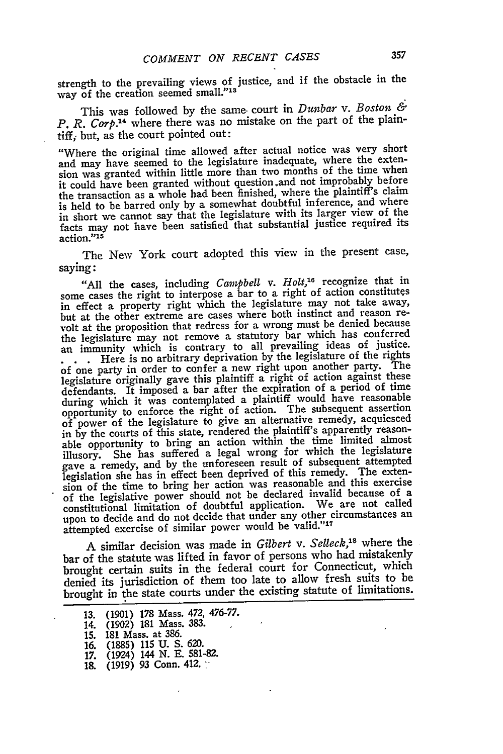strength to the prevailing views of justice, and if the obstacle in the way of the creation seemed small."13

This was followed by the same. court in *Dunbar v. Boston & P. R. Corp.'14* where there was no mistake on the part of the plaintiff; but, as the court pointed out:

"Where the original time allowed after actual notice was very short and may have seemed to the legislature inadequate, where the extension was granted within little more than two months of the time when it could have been granted without question .and not improbably before the transaction as a whole had been finished, where the plaintiff's claim is held to be barred only by a somewhat doubtful inference, and where in short we cannot say that the legislature with its larger view of the facts may not have been satisfied that substantial justice required its action."<sup>15</sup>

The New York court adopted this view in the present case, saying:

"All the cases, including *Campbell v. Holt,16* recognize that in some cases the right to interpose a bar to a right of action constitutes in effect a property right which the legislature may not take away, but at the other extreme are cases where both instinct and reason revolt at the proposition that redress for a wrong must be denied because the legislature may not remove a statutory bar which has conferred an immunity which is contrary to all prevailing ideas of justice.

**- . .** Here is no arbitrary deprivation by the legislature of the rights of one party in order to confer a new right upon another party. The legislature originally gave this plaintiff a right of action against these defendants. It imposed a bar after the expiration of a period of time during which it was contemplated a plaintiff would have reasonable opportunity to enforce the right of action. The subsequent assertion of power of the legislature to give an alternative remedy, acquiesced in by the courts of this state, rendered the plaintiff's apparently reasonable opportunity to bring an action within the time limited almost illusory. She has suffered a legal wrong for which the legislature gave a remedy, and by the unforeseen result of subsequent attempted<br>gave a remedy, and by the unforeseen result of subsequent The orter legislation she has in effect been deprived of this remedy. The extension of the time to bring her action was reasonable and this exercise of the legislative power should not be declared invalid because of a constitutional limitation of doubtful application. We are not called upon to decide and do not decide that under any other circumstances an attempted exercise of similar power would be valid."17

A similar decision was made in *Gilbert v. Selleck,'8* where the bar of the statute was lifted in favor of persons who had mistakenly brought certain suits in the federal court for Connecticut, which denied its jurisdiction of them too late to allow fresh suits to be brought in the state courts under the existing statute of limitations.

13. (1901) **178** Mass. 472, 476-77. 14. (1902) 181 Mass. 383. 15. 181 Mass. at 386. 16. (1885) 115 U. S. 620. 17. (1924) 144 N. E. 581-82. 18. (1919) 93 Conn. 412. **-**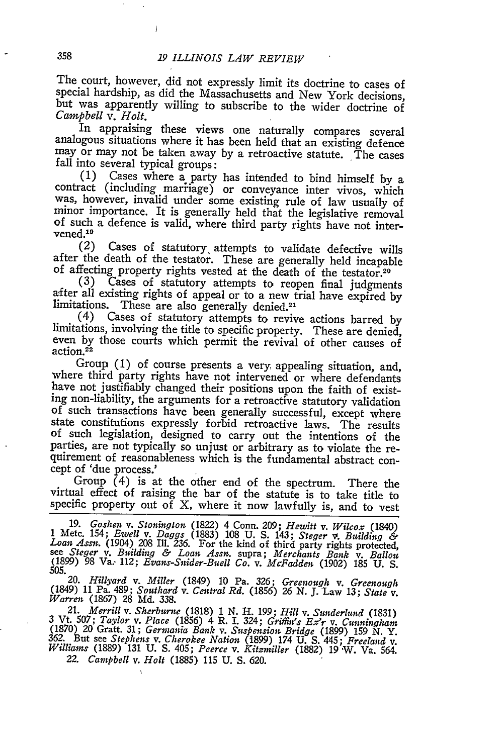$\bigg)$ 

The court, however, did not expressly limit its doctrine to cases of special hardship, as did the Massachusetts and New York decisions, but was apparently willing to subscribe to the wider doctrine of *Campbell v. Holt.*

In appraising these views one naturally compares several analogous situations where it has been held that an existing defence may or may not be taken away by a retroactive statute. The cases fall into several typical groups:

(1) Cases where a party has intended to bind himself by a contract (including marriage) or conveyance inter vivos, which was, however, invalid under some existing rule of law usually of minor importance. It is generally held that the legislative removal of such a defence is valid, where third party rights have not intervened.<sup>19</sup>

(2) Cases of statutory attempts to validate defective wills after the death of the testator. These are generally held incapable of affecting property rights vested at the death of the testator.<sup>20</sup> (3) Cases of statutory

**(3)** Cases of statutory attempts to reopen final judgments after all existing rights of appeal or to a new trial have expired by limitations. These are also generally denied. <sup>21</sup>

(4) Cases of statutory attempts to revive actions barred by limitations, involving the title to specific property. These are denied, even by those courts which permit the revival of other causes of action.<sup>22</sup>

Group (1) of course presents a very appealing situation, and, where third party rights have not intervened or where defendants have not justifiably changed their positions upon the faith of existing non-liability, the argu of such transactions have been generally successful, except where state constitutions expressly forbid retroactive laws. The results of such legislation, designed to carry out the intentions of the parties, are not typically so unjust or arbitrary as to violate the requirement of reasonableness which is the fundamental abstract concept of 'due process.'

Group  $(4)$  is at the other end of the spectrum. There the virtual effect of raising the bar of the statute is to take title to specific property out of X, where it now lawfully is, and to vest

19. Goshen v. Stonington (1822) 4 Conn. 209; Hewitt v. Wilcox (1840)<br>1 Metc. 154; Ewell v. Daggs (1883) 108 U. S. 143; Steger v. Building &<br>Loan Assn. (1904) 208 Ill. 236. For the kind of third party rights protected,<br>see

21. Merrill v. Sunderland (1831)<br>3 Vt. 507; Taylor v. Place (1856) 4 R. I. 324; Griffin's Ex'r v. Cunningham<br>(1870) 20 Gratt. 31; Germania Bank v. Suspension Bridge (1899) 159 N. Y.<br>362. But see Stephens v. Cherokee Nation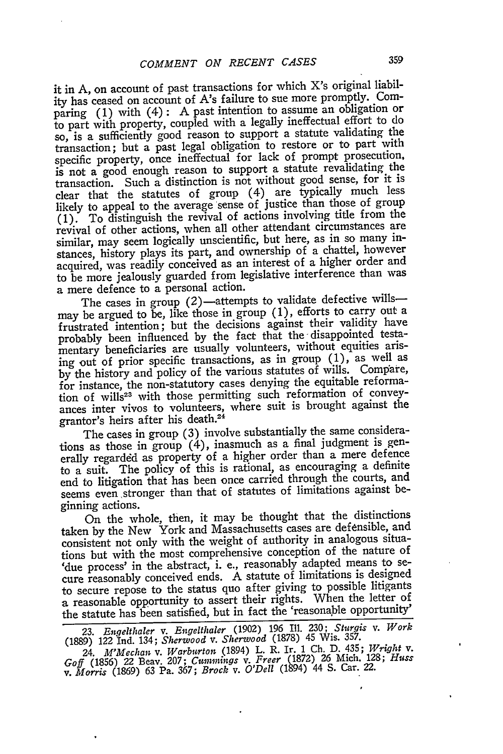it in A, on account of past transactions for which X's original liability has ceased on account of A's failure to sue more promptly. Comparing (1) with (4) : A past intention to assume an obligation or to part with property, coupled with a legally ineffectual effort to do so, is a sufficiently good reason to support a statute validating the transaction; but a past legal obligation to restore or to part with specific property, once ineffectual for lack of prompt prosecution, is not a good enough reason to support a statute revalidating the transaction. Such a distinction is not without good sense, for it is clear that the statutes of group (4) are typically much less likely to appeal to the average sense of justice than those of group (1). To distinguish the revival of actions involving title from the revival of other actions, when all other attendant circumstances are similar, may seem logically unscientific, but here, as in so many instances, history plays its part, and ownership of a chattel, however acquired, was readily conceived as an interest of a higher order and to be more jealously guarded from legislative interference than was a mere defence to a personal action.

The cases in group  $(2)$ —attempts to validate defective wills may be argued to be, like those in group (1), efforts to carry out a frustrated intention; but the decisions against their validity have probably been influenced by the fact that the disappointed testamentary beneficiaries are usually volunteers, without equities arising out of prior specific transactions, as in group (1), as well as by the history and policy of the various statutes of wills. Compare, for instance, the non-statutory cases denying the equitable reformation of wills<sup>23</sup> with those permitting such reformation of conveyances inter vivos to volunteers, where suit is brought against the grantor's heirs after his death.<sup>24</sup>

The cases in group (3) involve substantially the same considerations as those in group (4), inasmuch as a final judgment is generally regarded as property of a higher order than a mere defence to a suit. The policy of this is rational, as encouraging a definite end to litigation that has been once carried through the courts, and seems even stronger than that of statutes of limitations against beginning actions.

On the whole, then, it may be thought that the distinctions taken by the New York and Massachusetts cases are defensible, and consistent not only with the weight of authority in analogous situations but with the most comprehensive conception of the nature of 'due process' in the abstract, i. e., reasonably adapted means to secure reasonably conceived ends. A statute of limitations is designed to secure repose to the status quo after giving to possible litigants a reasonable opportunity to assert their rights. When the letter of the statute has been satisfied, but in fact the 'reasonable opportunity'

23. *Engelthaler v. Engelthaler* (1902) 196 Ill. 230; *Sturgis v. Work* (1889) 122 Ind. 134; *Sherwood v. Sherwood* (1878) 45 Wis. 357.

24. *M'Mechian v. Warburton* (1894) L. R. Ir. **1** Ch. D. 435; *Wright v. Goff* (1856) 22 Beav. 207; *Cummings v. Freer* (1872) 26 Mich. 128; *Huss v. Morris* (1869) 63 Pa. *367; Brock v. O'Dell* (1894) 44 S. Car. 22.